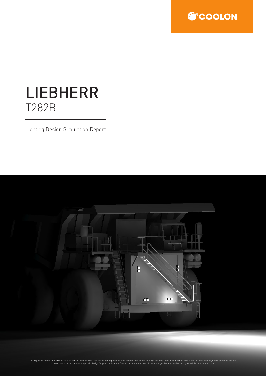

# LIEBHERR T282B

Lighting Design Simulation Report

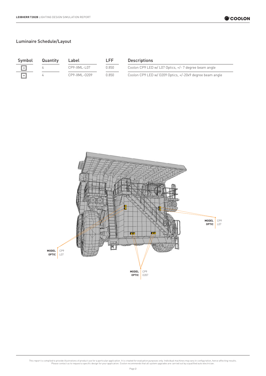| Symbol                  | Quantity | Label        | I FF. | <b>Descriptions</b> |  |
|-------------------------|----------|--------------|-------|---------------------|--|
| $\parallel + \parallel$ |          | CP9-XML-L07  | በ 850 | Coolon CP9 LED      |  |
|                         |          | CP9-XML-0209 | በ 850 | Coolon CP9 LED      |  |

| Quantity | Label            | LFF   | <b>Descriptions</b>                                      |
|----------|------------------|-------|----------------------------------------------------------|
|          | $CP9 - XML -107$ | 0.850 | Coolon CP9 LED w/ L07 Optics, $+/- 7$ degree beam angle  |
|          | CP9-XML-0209     | 0.850 | Coolon CP9 LED w/ 0209 Optics, +/-20x9 degree beam angle |

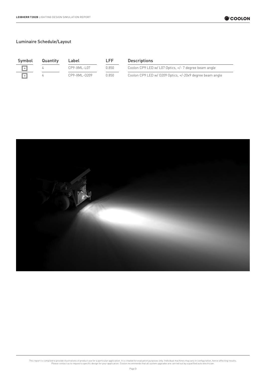| Symbol                    | Quantity | Label        | I FF. | <b>Descriptions</b> |  |
|---------------------------|----------|--------------|-------|---------------------|--|
| ∥ →                       |          | CP9-XML-L07  | በ 850 | Coolon CP9 LED      |  |
| $\parallel$ + $\parallel$ |          | CP9-XML-0209 | በ 850 | Coolon CP9 LED      |  |

| Quantity | Label        | LFF    | <b>Descriptions</b>                                      |
|----------|--------------|--------|----------------------------------------------------------|
|          | CP9-XML-L07  | N 850. | Coolon CP9 LED w/ L07 Optics, +/- 7 degree beam angle    |
|          | CP9-XML-0209 | 0.850. | Coolon CP9 LED w/ 0209 Optics, +/-20x9 degree beam angle |

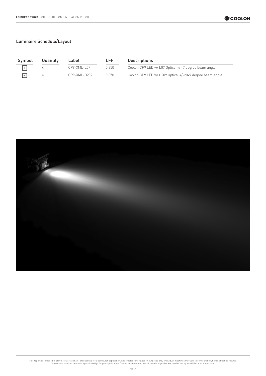| Symbol    | Quantity | Label           | I FF  | <b>Descriptions</b> |
|-----------|----------|-----------------|-------|---------------------|
| $ \ast $  |          | $CP9-XML - L07$ | 0.850 | Coolon CP9 LED      |
| $ \cdot $ |          | CP9-XML-0209    | 0.850 | Coolon CP9 LED      |

| Quantity | Label        | LFF.    | <b>Descriptions</b>                                      |
|----------|--------------|---------|----------------------------------------------------------|
|          | CP9-XML-L07  | 0.850 . | Coolon CP9 LED w/ L07 Optics, +/- 7 degree beam angle    |
|          | CP9-XML-0209 | 0.850.  | Coolon CP9 LED w/ 0209 Optics, +/-20x9 degree beam angle |

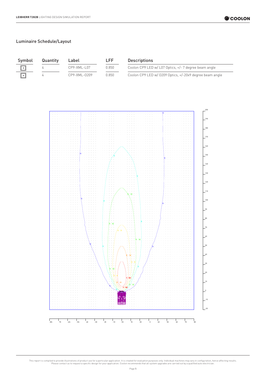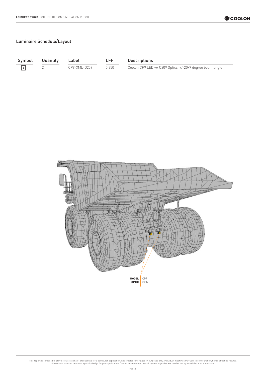$\boxed{\rightarrow}$ 

Symbol Quantity Label LFF Descriptions

2 CP9-XML-0209 0.850 Coolon CP9 LED w/ 0209 Optics, +/-20x9 degree beam angle

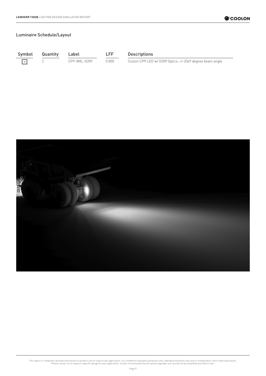$\boxed{\rightarrow}$ 

Symbol Quantity Label LFF Descriptions

2 CP9-XML-O209 0.850 Coolon CP9 LED w/ O209 Optics, +/-20x9 degree beam angle